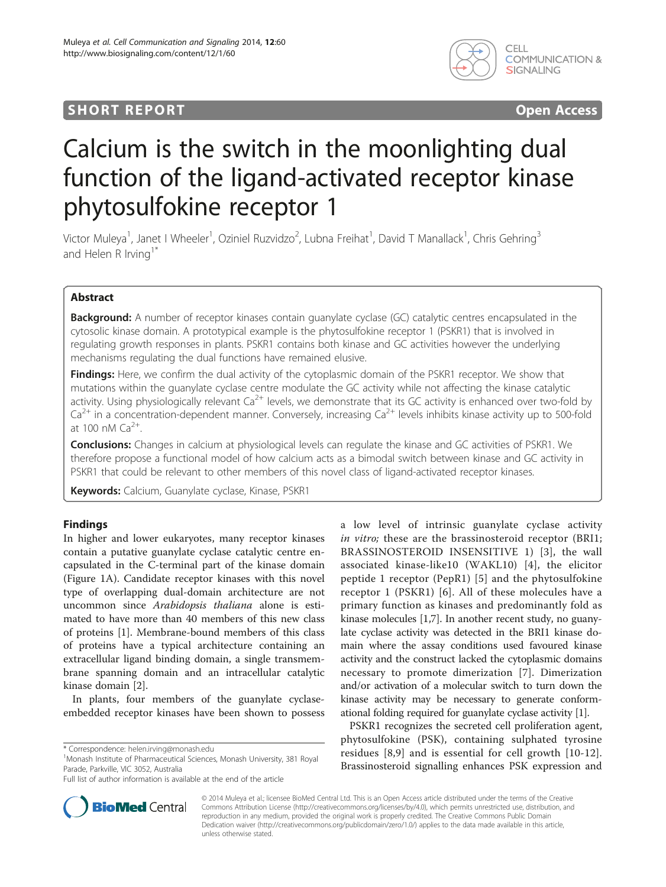## **SHORT REPORT SHORT CONSUMING THE CONSUMING THE CONSUMING THE CONSUMING THE CONSUMING THE CONSUMING THE CONSUMING THE CONSUMING THE CONSUMING THE CONSUMING THE CONSUMING THE CONSUMING THE CONSUMING THE CONSUMING THE CONS**



# Calcium is the switch in the moonlighting dual function of the ligand-activated receptor kinase phytosulfokine receptor 1

Victor Muleya<sup>1</sup>, Janet I Wheeler<sup>1</sup>, Oziniel Ruzvidzo<sup>2</sup>, Lubna Freihat<sup>1</sup>, David T Manallack<sup>1</sup>, Chris Gehring<sup>3</sup> and Helen R Irving<sup>1\*</sup>

## Abstract

Background: A number of receptor kinases contain guanylate cyclase (GC) catalytic centres encapsulated in the cytosolic kinase domain. A prototypical example is the phytosulfokine receptor 1 (PSKR1) that is involved in regulating growth responses in plants. PSKR1 contains both kinase and GC activities however the underlying mechanisms regulating the dual functions have remained elusive.

**Findings:** Here, we confirm the dual activity of the cytoplasmic domain of the PSKR1 receptor. We show that mutations within the guanylate cyclase centre modulate the GC activity while not affecting the kinase catalytic activity. Using physiologically relevant  $Ca^{2+}$  levels, we demonstrate that its GC activity is enhanced over two-fold by  $Ca^{2+}$  in a concentration-dependent manner. Conversely, increasing  $Ca^{2+}$  levels inhibits kinase activity up to 500-fold at 100 nM  $Ca^{2+}$ .

Conclusions: Changes in calcium at physiological levels can regulate the kinase and GC activities of PSKR1. We therefore propose a functional model of how calcium acts as a bimodal switch between kinase and GC activity in PSKR1 that could be relevant to other members of this novel class of ligand-activated receptor kinases.

Keywords: Calcium, Guanylate cyclase, Kinase, PSKR1

## Findings

In higher and lower eukaryotes, many receptor kinases contain a putative guanylate cyclase catalytic centre encapsulated in the C-terminal part of the kinase domain (Figure [1A](#page-1-0)). Candidate receptor kinases with this novel type of overlapping dual-domain architecture are not uncommon since Arabidopsis thaliana alone is estimated to have more than 40 members of this new class of proteins [\[1](#page-4-0)]. Membrane-bound members of this class of proteins have a typical architecture containing an extracellular ligand binding domain, a single transmembrane spanning domain and an intracellular catalytic kinase domain [\[2](#page-4-0)].

In plants, four members of the guanylate cyclaseembedded receptor kinases have been shown to possess a low level of intrinsic guanylate cyclase activity in vitro; these are the brassinosteroid receptor (BRI1; BRASSINOSTEROID INSENSITIVE 1) [\[3](#page-4-0)], the wall associated kinase-like10 (WAKL10) [\[4](#page-4-0)], the elicitor peptide 1 receptor (PepR1) [[5](#page-4-0)] and the phytosulfokine receptor 1 (PSKR1) [[6](#page-4-0)]. All of these molecules have a primary function as kinases and predominantly fold as kinase molecules [[1,7](#page-4-0)]. In another recent study, no guanylate cyclase activity was detected in the BRI1 kinase domain where the assay conditions used favoured kinase activity and the construct lacked the cytoplasmic domains necessary to promote dimerization [\[7](#page-4-0)]. Dimerization and/or activation of a molecular switch to turn down the kinase activity may be necessary to generate conformational folding required for guanylate cyclase activity [\[1](#page-4-0)].

PSKR1 recognizes the secreted cell proliferation agent, phytosulfokine (PSK), containing sulphated tyrosine residues [[8,9\]](#page-4-0) and is essential for cell growth [[10](#page-4-0)-[12](#page-4-0)]. Brassinosteroid signalling enhances PSK expression and



© 2014 Muleya et al.; licensee BioMed Central Ltd. This is an Open Access article distributed under the terms of the Creative Commons Attribution License [\(http://creativecommons.org/licenses/by/4.0\)](http://creativecommons.org/licenses/by/4.0), which permits unrestricted use, distribution, and reproduction in any medium, provided the original work is properly credited. The Creative Commons Public Domain Dedication waiver [\(http://creativecommons.org/publicdomain/zero/1.0/](http://creativecommons.org/publicdomain/zero/1.0/)) applies to the data made available in this article, unless otherwise stated.

<sup>\*</sup> Correspondence: [helen.irving@monash.edu](mailto:helen.irving@monash.edu) <sup>1</sup>

<sup>&</sup>lt;sup>1</sup>Monash Institute of Pharmaceutical Sciences, Monash University, 381 Royal Parade, Parkville, VIC 3052, Australia

Full list of author information is available at the end of the article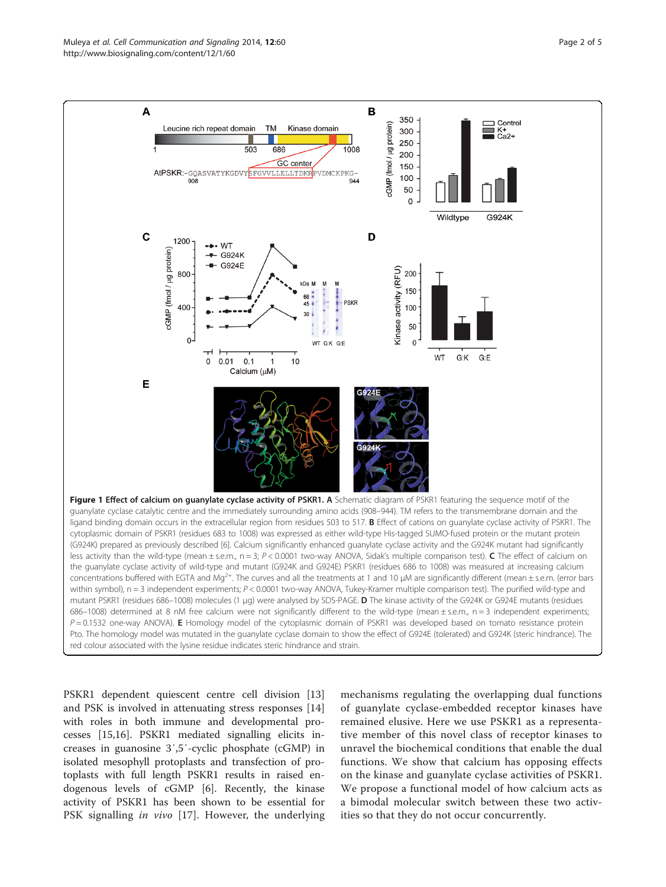<span id="page-1-0"></span>

PSKR1 dependent quiescent centre cell division [[13](#page-4-0)] and PSK is involved in attenuating stress responses [[14](#page-4-0)] with roles in both immune and developmental processes [[15,16\]](#page-4-0). PSKR1 mediated signalling elicits increases in guanosine 3′,5′-cyclic phosphate (cGMP) in isolated mesophyll protoplasts and transfection of protoplasts with full length PSKR1 results in raised endogenous levels of cGMP [[6\]](#page-4-0). Recently, the kinase activity of PSKR1 has been shown to be essential for PSK signalling in vivo [[17\]](#page-4-0). However, the underlying mechanisms regulating the overlapping dual functions of guanylate cyclase-embedded receptor kinases have remained elusive. Here we use PSKR1 as a representative member of this novel class of receptor kinases to unravel the biochemical conditions that enable the dual functions. We show that calcium has opposing effects on the kinase and guanylate cyclase activities of PSKR1. We propose a functional model of how calcium acts as a bimodal molecular switch between these two activities so that they do not occur concurrently.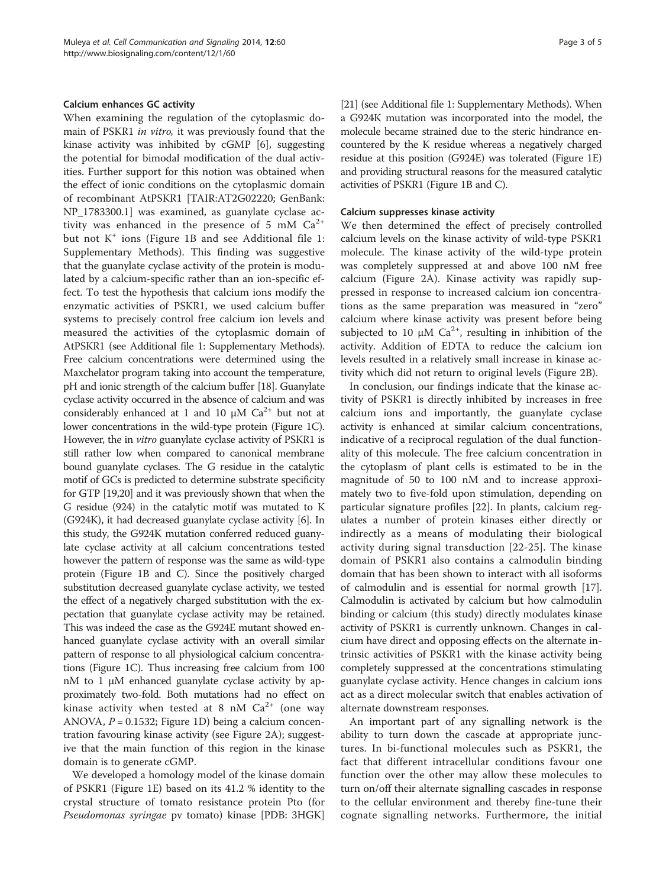## Calcium enhances GC activity

When examining the regulation of the cytoplasmic domain of PSKR1 in vitro, it was previously found that the kinase activity was inhibited by cGMP [[6\]](#page-4-0), suggesting the potential for bimodal modification of the dual activities. Further support for this notion was obtained when the effect of ionic conditions on the cytoplasmic domain of recombinant AtPSKR1 [TAIR:AT2G02220; GenBank: NP\_1783300.1] was examined, as guanylate cyclase activity was enhanced in the presence of 5 mM  $Ca^{2+}$ but not  $K^+$  ions (Figure [1B](#page-1-0) and see Additional file [1](#page-4-0): Supplementary Methods). This finding was suggestive that the guanylate cyclase activity of the protein is modulated by a calcium-specific rather than an ion-specific effect. To test the hypothesis that calcium ions modify the enzymatic activities of PSKR1, we used calcium buffer systems to precisely control free calcium ion levels and measured the activities of the cytoplasmic domain of AtPSKR1 (see Additional file [1:](#page-4-0) Supplementary Methods). Free calcium concentrations were determined using the Maxchelator program taking into account the temperature, pH and ionic strength of the calcium buffer [\[18\]](#page-4-0). Guanylate cyclase activity occurred in the absence of calcium and was considerably enhanced at 1 and 10  $\mu$ M Ca<sup>2+</sup> but not at lower concentrations in the wild-type protein (Figure [1C](#page-1-0)). However, the in vitro guanylate cyclase activity of PSKR1 is still rather low when compared to canonical membrane bound guanylate cyclases. The G residue in the catalytic motif of GCs is predicted to determine substrate specificity for GTP [\[19,20](#page-4-0)] and it was previously shown that when the G residue (924) in the catalytic motif was mutated to K (G924K), it had decreased guanylate cyclase activity [\[6\]](#page-4-0). In this study, the G924K mutation conferred reduced guanylate cyclase activity at all calcium concentrations tested however the pattern of response was the same as wild-type protein (Figure [1B](#page-1-0) and C). Since the positively charged substitution decreased guanylate cyclase activity, we tested the effect of a negatively charged substitution with the expectation that guanylate cyclase activity may be retained. This was indeed the case as the G924E mutant showed enhanced guanylate cyclase activity with an overall similar pattern of response to all physiological calcium concentrations (Figure [1](#page-1-0)C). Thus increasing free calcium from 100 nM to 1 μM enhanced guanylate cyclase activity by approximately two-fold. Both mutations had no effect on kinase activity when tested at 8 nM  $Ca^{2+}$  (one way ANOVA,  $P = 0.1532$ ; Figure [1D](#page-1-0)) being a calcium concentration favouring kinase activity (see Figure [2](#page-3-0)A); suggestive that the main function of this region in the kinase domain is to generate cGMP.

We developed a homology model of the kinase domain of PSKR1 (Figure [1](#page-1-0)E) based on its 41.2 % identity to the crystal structure of tomato resistance protein Pto (for Pseudomonas syringae pv tomato) kinase [PDB: 3HGK]

[[21](#page-4-0)] (see Additional file [1](#page-4-0): Supplementary Methods). When a G924K mutation was incorporated into the model, the molecule became strained due to the steric hindrance encountered by the K residue whereas a negatively charged residue at this position (G924E) was tolerated (Figure [1](#page-1-0)E) and providing structural reasons for the measured catalytic activities of PSKR1 (Figure [1B](#page-1-0) and C).

## Calcium suppresses kinase activity

We then determined the effect of precisely controlled calcium levels on the kinase activity of wild-type PSKR1 molecule. The kinase activity of the wild-type protein was completely suppressed at and above 100 nM free calcium (Figure [2](#page-3-0)A). Kinase activity was rapidly suppressed in response to increased calcium ion concentrations as the same preparation was measured in "zero" calcium where kinase activity was present before being subjected to 10  $\mu$ M Ca<sup>2+</sup>, resulting in inhibition of the activity. Addition of EDTA to reduce the calcium ion levels resulted in a relatively small increase in kinase activity which did not return to original levels (Figure [2B](#page-3-0)).

In conclusion, our findings indicate that the kinase activity of PSKR1 is directly inhibited by increases in free calcium ions and importantly, the guanylate cyclase activity is enhanced at similar calcium concentrations, indicative of a reciprocal regulation of the dual functionality of this molecule. The free calcium concentration in the cytoplasm of plant cells is estimated to be in the magnitude of 50 to 100 nM and to increase approximately two to five-fold upon stimulation, depending on particular signature profiles [\[22](#page-4-0)]. In plants, calcium regulates a number of protein kinases either directly or indirectly as a means of modulating their biological activity during signal transduction [[22-25\]](#page-4-0). The kinase domain of PSKR1 also contains a calmodulin binding domain that has been shown to interact with all isoforms of calmodulin and is essential for normal growth [\[17](#page-4-0)]. Calmodulin is activated by calcium but how calmodulin binding or calcium (this study) directly modulates kinase activity of PSKR1 is currently unknown. Changes in calcium have direct and opposing effects on the alternate intrinsic activities of PSKR1 with the kinase activity being completely suppressed at the concentrations stimulating guanylate cyclase activity. Hence changes in calcium ions act as a direct molecular switch that enables activation of alternate downstream responses.

An important part of any signalling network is the ability to turn down the cascade at appropriate junctures. In bi-functional molecules such as PSKR1, the fact that different intracellular conditions favour one function over the other may allow these molecules to turn on/off their alternate signalling cascades in response to the cellular environment and thereby fine-tune their cognate signalling networks. Furthermore, the initial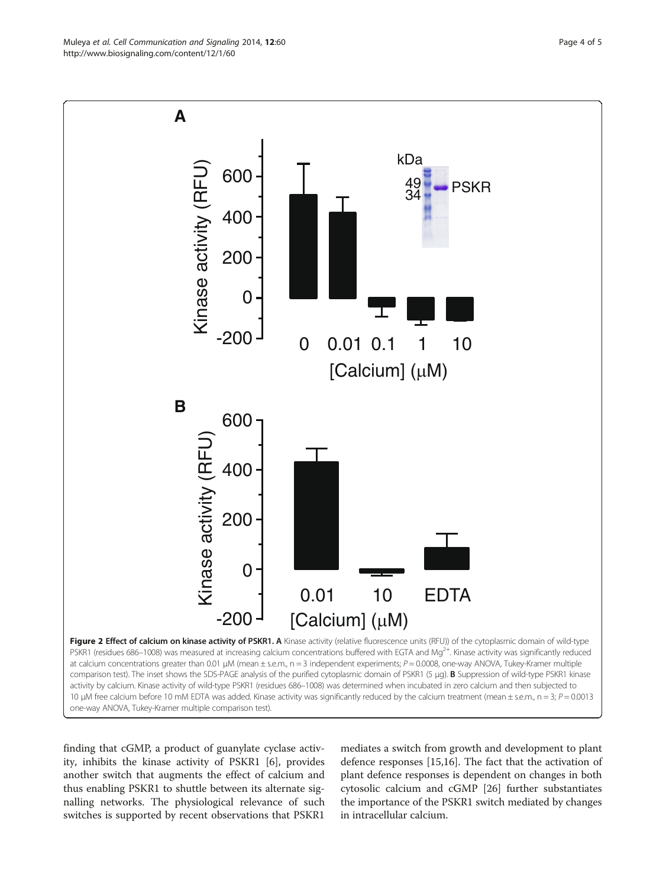<span id="page-3-0"></span>

finding that cGMP, a product of guanylate cyclase activity, inhibits the kinase activity of PSKR1 [[6\]](#page-4-0), provides another switch that augments the effect of calcium and thus enabling PSKR1 to shuttle between its alternate signalling networks. The physiological relevance of such switches is supported by recent observations that PSKR1

mediates a switch from growth and development to plant defence responses [[15,16\]](#page-4-0). The fact that the activation of plant defence responses is dependent on changes in both cytosolic calcium and cGMP [\[26](#page-4-0)] further substantiates the importance of the PSKR1 switch mediated by changes in intracellular calcium.